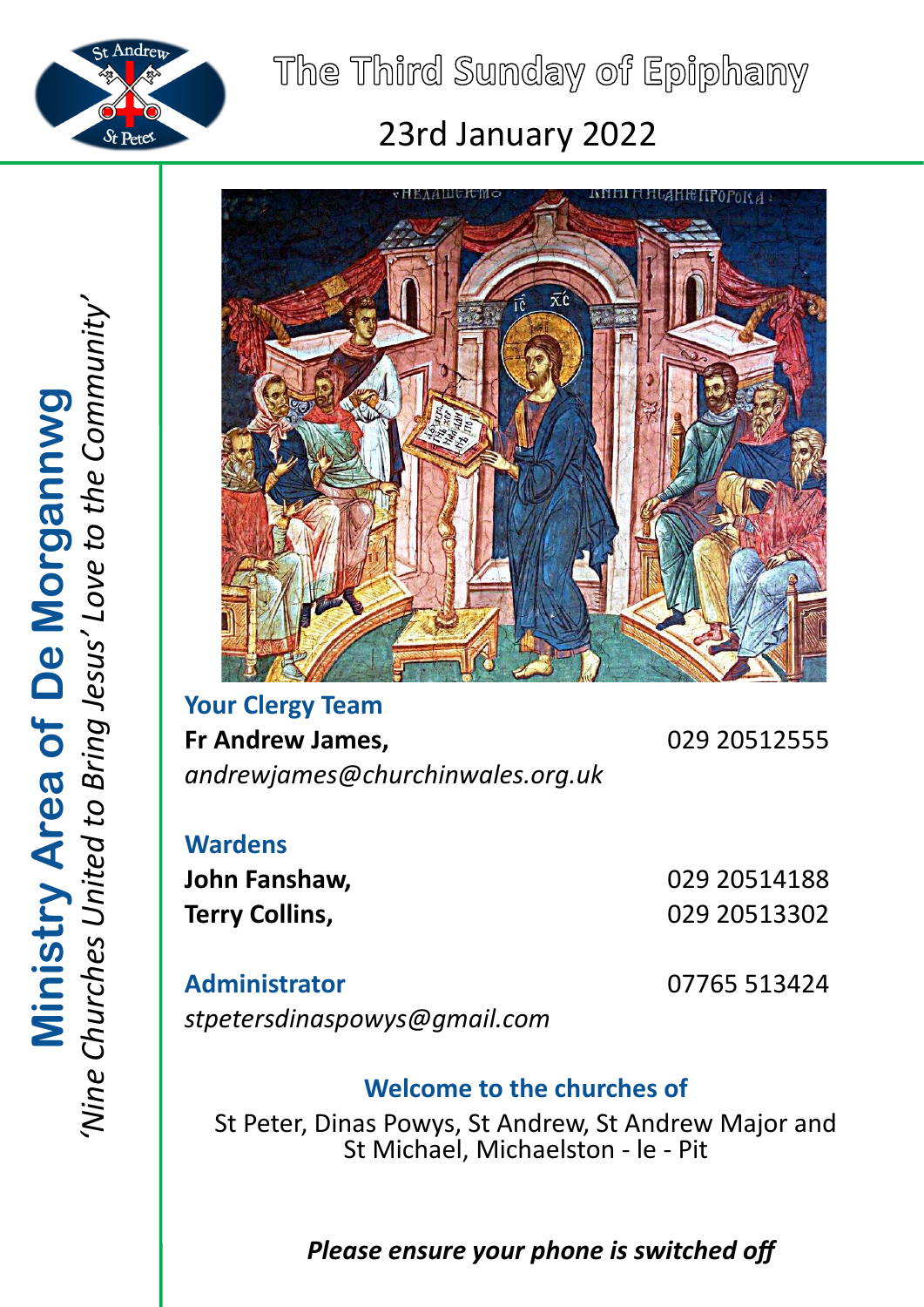

The Third Sunday of Epiphany

# 23rd January 2022



**Your Clergy Team Fr Andrew James,** 029 20512555 *andrewjames@churchinwales.org.uk*

**Wardens**

**John Fanshaw,** 029 20514188 **Terry Collins,** 029 20513302

**Administrator** 07765 513424

*stpetersdinaspowys@gmail.com*

### **Welcome to the churches of**

St Peter, Dinas Powys, St Andrew, St Andrew Major and St Michael, Michaelston - le - Pit

# *Please ensure your phone is switched off*

*'Nine Churches United to Bring Jesus' Love to the Community'* Ministry Area of De Morgannwg<br>"Nine Churches United to Bring Jesus' Love to the Communit **Ministry Area of De Morgannwg**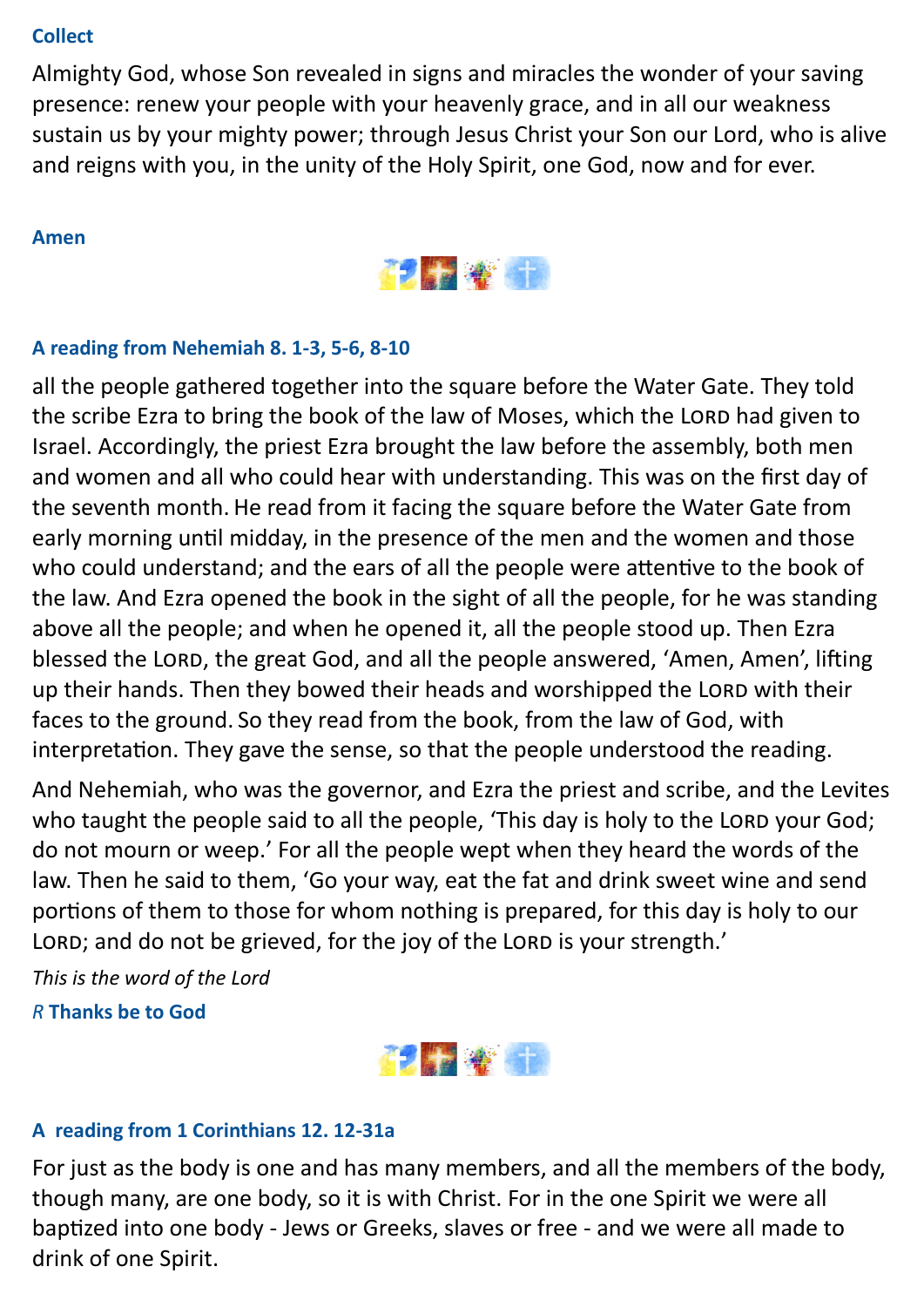#### **Collect**

Almighty God, whose Son revealed in signs and miracles the wonder of your saving presence: renew your people with your heavenly grace, and in all our weakness sustain us by your mighty power; through Jesus Christ your Son our Lord, who is alive and reigns with you, in the unity of the Holy Spirit, one God, now and for ever.

#### **Amen**



#### **A reading from Nehemiah 8. 1-3, 5-6, 8-10**

all the people gathered together into the square before the Water Gate. They told the scribe Ezra to bring the book of the law of Moses, which the LORD had given to Israel. Accordingly, the priest Ezra brought the law before the assembly, both men and women and all who could hear with understanding. This was on the first day of the seventh month. He read from it facing the square before the Water Gate from early morning until midday, in the presence of the men and the women and those who could understand; and the ears of all the people were attentive to the book of the law. And Ezra opened the book in the sight of all the people, for he was standing above all the people; and when he opened it, all the people stood up. Then Ezra blessed the LORD, the great God, and all the people answered, 'Amen, Amen', lifting up their hands. Then they bowed their heads and worshipped the LORD with their faces to the ground. So they read from the book, from the law of God, with interpretation. They gave the sense, so that the people understood the reading.

And Nehemiah, who was the governor, and Ezra the priest and scribe, and the Levites who taught the people said to all the people, 'This day is holy to the LORD your God; do not mourn or weep.' For all the people wept when they heard the words of the law. Then he said to them, 'Go your way, eat the fat and drink sweet wine and send portions of them to those for whom nothing is prepared, for this day is holy to our LORD; and do not be grieved, for the joy of the LORD is your strength.'

*This is the word of the Lord R* **Thanks be to God**



#### **A reading from 1 Corinthians 12. 12-31a**

For just as the body is one and has many members, and all the members of the body, though many, are one body, so it is with Christ. For in the one Spirit we were all baptized into one body - Jews or Greeks, slaves or free - and we were all made to drink of one Spirit.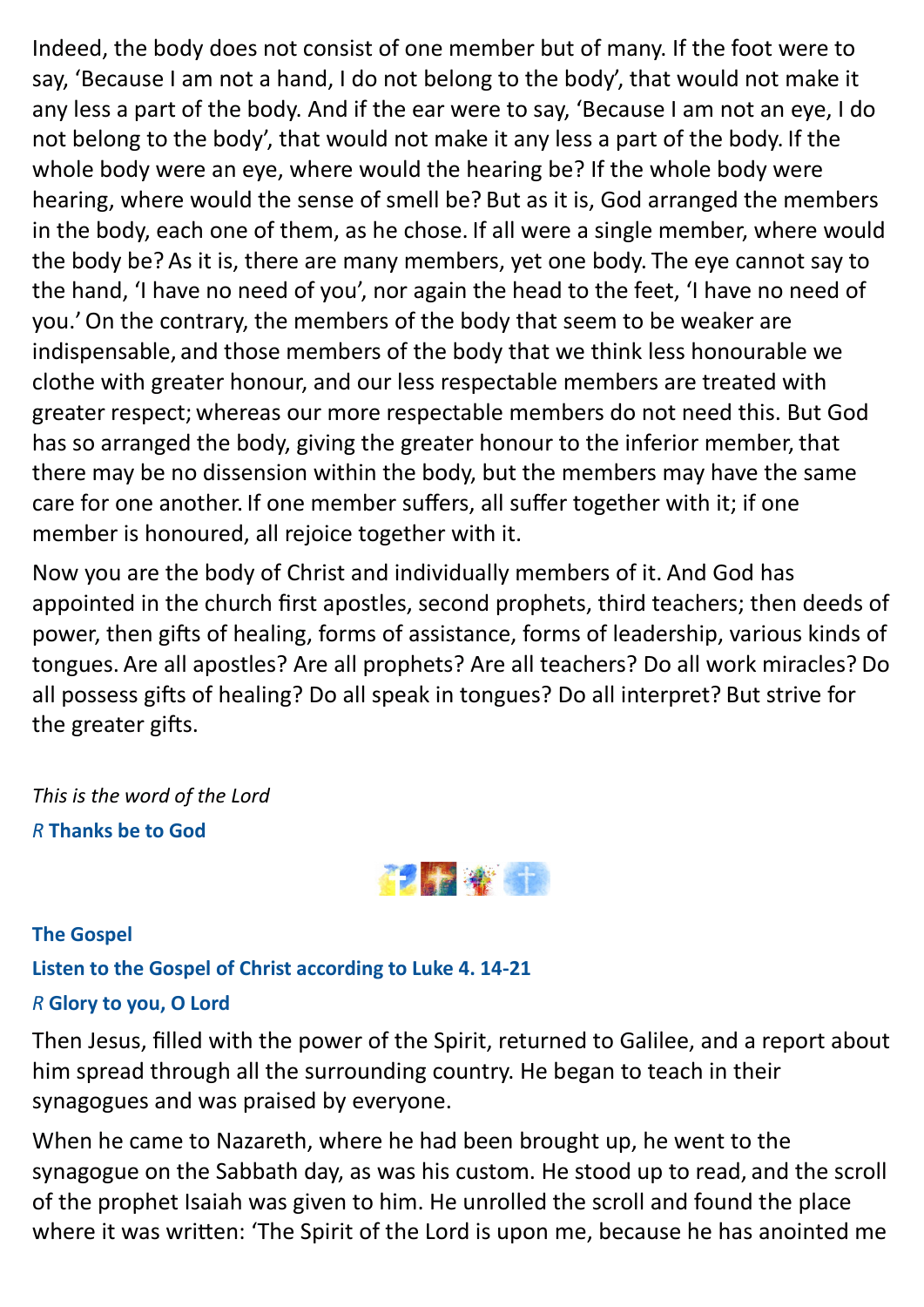Indeed, the body does not consist of one member but of many. If the foot were to say, 'Because I am not a hand, I do not belong to the body', that would not make it any less a part of the body. And if the ear were to say, 'Because I am not an eye, I do not belong to the body', that would not make it any less a part of the body. If the whole body were an eye, where would the hearing be? If the whole body were hearing, where would the sense of smell be? But as it is, God arranged the members in the body, each one of them, as he chose. If all were a single member, where would the body be? As it is, there are many members, yet one body. The eye cannot say to the hand, 'I have no need of you', nor again the head to the feet, 'I have no need of you.'On the contrary, the members of the body that seem to be weaker are indispensable, and those members of the body that we think less honourable we clothe with greater honour, and our less respectable members are treated with greater respect; whereas our more respectable members do not need this. But God has so arranged the body, giving the greater honour to the inferior member, that there may be no dissension within the body, but the members may have the same care for one another. If one member suffers, all suffer together with it; if one member is honoured, all rejoice together with it.

Now you are the body of Christ and individually members of it. And God has appointed in the church first apostles, second prophets, third teachers; then deeds of power, then gifts of healing, forms of assistance, forms of leadership, various kinds of tongues. Are all apostles? Are all prophets? Are all teachers? Do all work miracles? Do all possess gifts of healing? Do all speak in tongues? Do all interpret? But strive for the greater gifts.

*This is the word of the Lord R* **Thanks be to God**



#### **The Gospel**

**Listen to the Gospel of Christ according to Luke 4. 14-21**

#### *R* **Glory to you, O Lord**

Then Jesus, filled with the power of the Spirit, returned to Galilee, and a report about him spread through all the surrounding country. He began to teach in their synagogues and was praised by everyone.

When he came to Nazareth, where he had been brought up, he went to the synagogue on the Sabbath day, as was his custom. He stood up to read, and the scroll of the prophet Isaiah was given to him. He unrolled the scroll and found the place where it was written: 'The Spirit of the Lord is upon me, because he has anointed me